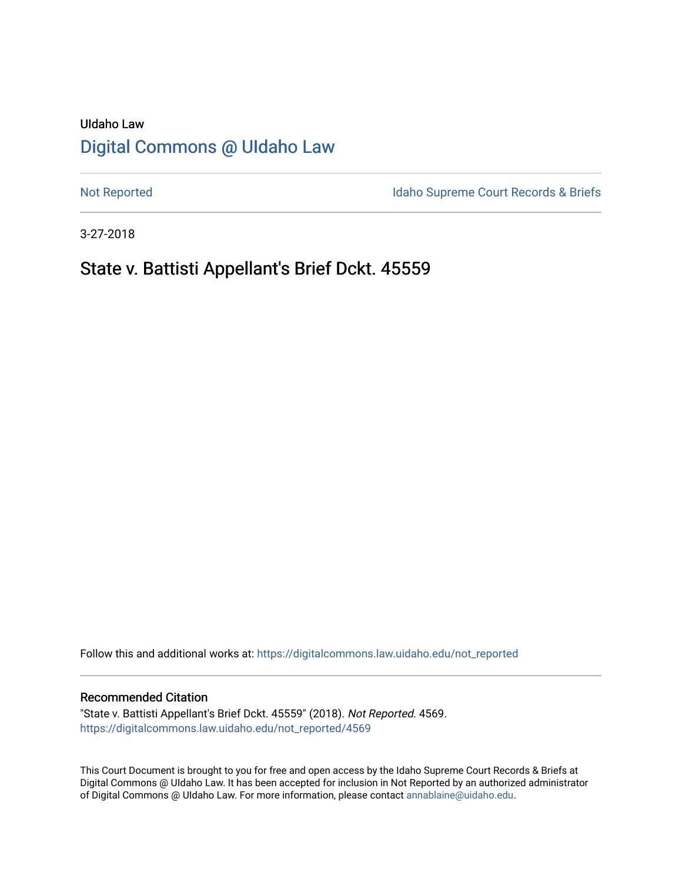# UIdaho Law [Digital Commons @ UIdaho Law](https://digitalcommons.law.uidaho.edu/)

[Not Reported](https://digitalcommons.law.uidaho.edu/not_reported) **Idaho Supreme Court Records & Briefs** 

3-27-2018

## State v. Battisti Appellant's Brief Dckt. 45559

Follow this and additional works at: [https://digitalcommons.law.uidaho.edu/not\\_reported](https://digitalcommons.law.uidaho.edu/not_reported?utm_source=digitalcommons.law.uidaho.edu%2Fnot_reported%2F4569&utm_medium=PDF&utm_campaign=PDFCoverPages) 

#### Recommended Citation

"State v. Battisti Appellant's Brief Dckt. 45559" (2018). Not Reported. 4569. [https://digitalcommons.law.uidaho.edu/not\\_reported/4569](https://digitalcommons.law.uidaho.edu/not_reported/4569?utm_source=digitalcommons.law.uidaho.edu%2Fnot_reported%2F4569&utm_medium=PDF&utm_campaign=PDFCoverPages)

This Court Document is brought to you for free and open access by the Idaho Supreme Court Records & Briefs at Digital Commons @ UIdaho Law. It has been accepted for inclusion in Not Reported by an authorized administrator of Digital Commons @ UIdaho Law. For more information, please contact [annablaine@uidaho.edu](mailto:annablaine@uidaho.edu).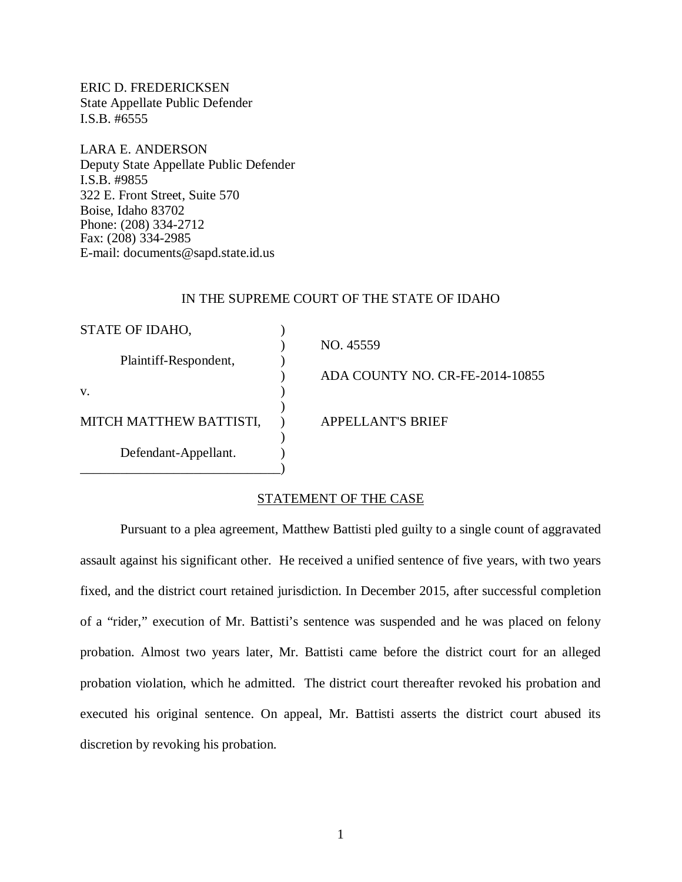ERIC D. FREDERICKSEN State Appellate Public Defender I.S.B. #6555

LARA E. ANDERSON Deputy State Appellate Public Defender I.S.B. #9855 322 E. Front Street, Suite 570 Boise, Idaho 83702 Phone: (208) 334-2712 Fax: (208) 334-2985 E-mail: documents@sapd.state.id.us

#### IN THE SUPREME COURT OF THE STATE OF IDAHO

| STATE OF IDAHO,         |                                 |  |
|-------------------------|---------------------------------|--|
|                         | NO. 45559                       |  |
| Plaintiff-Respondent,   |                                 |  |
|                         | ADA COUNTY NO. CR-FE-2014-10855 |  |
| V.                      |                                 |  |
|                         |                                 |  |
| MITCH MATTHEW BATTISTI, | <b>APPELLANT'S BRIEF</b>        |  |
|                         |                                 |  |
| Defendant-Appellant.    |                                 |  |
|                         |                                 |  |

### STATEMENT OF THE CASE

Pursuant to a plea agreement, Matthew Battisti pled guilty to a single count of aggravated assault against his significant other. He received a unified sentence of five years, with two years fixed, and the district court retained jurisdiction. In December 2015, after successful completion of a "rider," execution of Mr. Battisti's sentence was suspended and he was placed on felony probation. Almost two years later, Mr. Battisti came before the district court for an alleged probation violation, which he admitted. The district court thereafter revoked his probation and executed his original sentence. On appeal, Mr. Battisti asserts the district court abused its discretion by revoking his probation.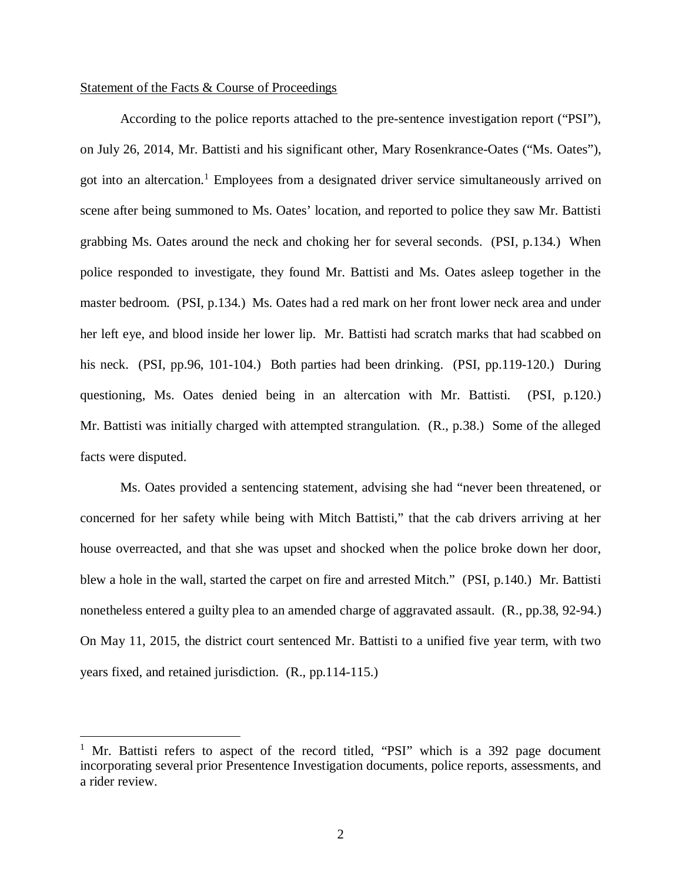### Statement of the Facts & Course of Proceedings

According to the police reports attached to the pre-sentence investigation report ("PSI"), on July 26, 2014, Mr. Battisti and his significant other, Mary Rosenkrance-Oates ("Ms. Oates"), got into an altercation.<sup>[1](#page-2-0)</sup> Employees from a designated driver service simultaneously arrived on scene after being summoned to Ms. Oates' location, and reported to police they saw Mr. Battisti grabbing Ms. Oates around the neck and choking her for several seconds. (PSI, p.134.) When police responded to investigate, they found Mr. Battisti and Ms. Oates asleep together in the master bedroom. (PSI, p.134.) Ms. Oates had a red mark on her front lower neck area and under her left eye, and blood inside her lower lip. Mr. Battisti had scratch marks that had scabbed on his neck. (PSI, pp.96, 101-104.) Both parties had been drinking. (PSI, pp.119-120.) During questioning, Ms. Oates denied being in an altercation with Mr. Battisti. (PSI, p.120.) Mr. Battisti was initially charged with attempted strangulation. (R., p.38.) Some of the alleged facts were disputed.

Ms. Oates provided a sentencing statement, advising she had "never been threatened, or concerned for her safety while being with Mitch Battisti," that the cab drivers arriving at her house overreacted, and that she was upset and shocked when the police broke down her door, blew a hole in the wall, started the carpet on fire and arrested Mitch." (PSI, p.140.) Mr. Battisti nonetheless entered a guilty plea to an amended charge of aggravated assault. (R., pp.38, 92-94.) On May 11, 2015, the district court sentenced Mr. Battisti to a unified five year term, with two years fixed, and retained jurisdiction. (R., pp.114-115.)

<span id="page-2-0"></span><sup>&</sup>lt;sup>1</sup> Mr. Battisti refers to aspect of the record titled, "PSI" which is a 392 page document incorporating several prior Presentence Investigation documents, police reports, assessments, and a rider review.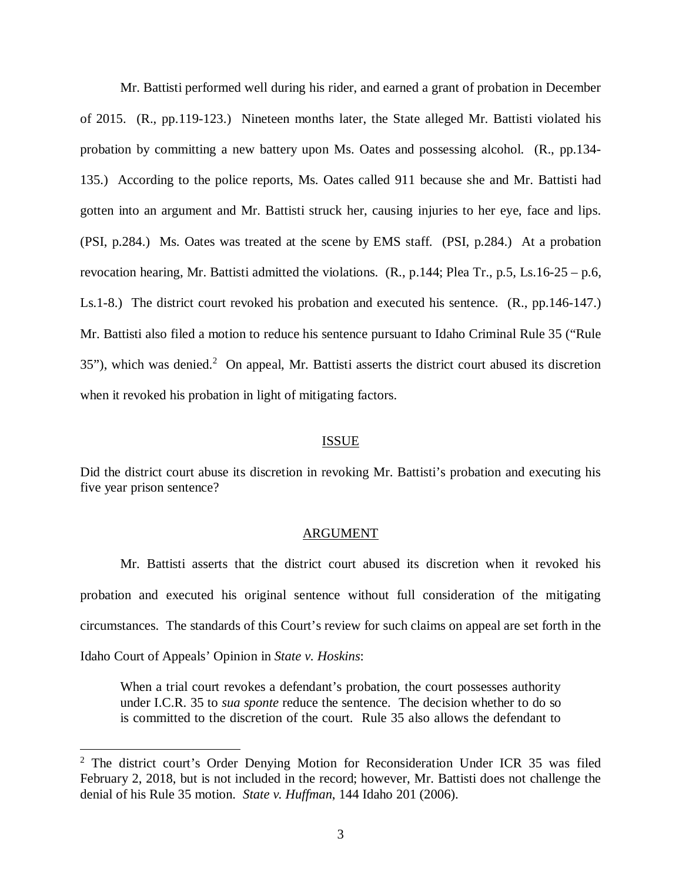Mr. Battisti performed well during his rider, and earned a grant of probation in December of 2015. (R., pp.119-123.) Nineteen months later, the State alleged Mr. Battisti violated his probation by committing a new battery upon Ms. Oates and possessing alcohol. (R., pp.134- 135.) According to the police reports, Ms. Oates called 911 because she and Mr. Battisti had gotten into an argument and Mr. Battisti struck her, causing injuries to her eye, face and lips. (PSI, p.284.) Ms. Oates was treated at the scene by EMS staff. (PSI, p.284.) At a probation revocation hearing, Mr. Battisti admitted the violations. (R., p.144; Plea Tr., p.5, Ls.16-25 – p.6, Ls.1-8.) The district court revoked his probation and executed his sentence. (R., pp.146-147.) Mr. Battisti also filed a motion to reduce his sentence pursuant to Idaho Criminal Rule 35 ("Rule  $35$ "), which was denied.<sup>[2](#page-3-0)</sup> On appeal, Mr. Battisti asserts the district court abused its discretion when it revoked his probation in light of mitigating factors.

#### ISSUE

Did the district court abuse its discretion in revoking Mr. Battisti's probation and executing his five year prison sentence?

#### ARGUMENT

Mr. Battisti asserts that the district court abused its discretion when it revoked his probation and executed his original sentence without full consideration of the mitigating circumstances. The standards of this Court's review for such claims on appeal are set forth in the Idaho Court of Appeals' Opinion in *State v. Hoskins*:

When a trial court revokes a defendant's probation, the court possesses authority under I.C.R. 35 to *sua sponte* reduce the sentence. The decision whether to do so is committed to the discretion of the court. Rule 35 also allows the defendant to

<span id="page-3-0"></span><sup>&</sup>lt;sup>2</sup> The district court's Order Denying Motion for Reconsideration Under ICR 35 was filed February 2, 2018, but is not included in the record; however, Mr. Battisti does not challenge the denial of his Rule 35 motion. *State v. Huffman*, 144 Idaho 201 (2006).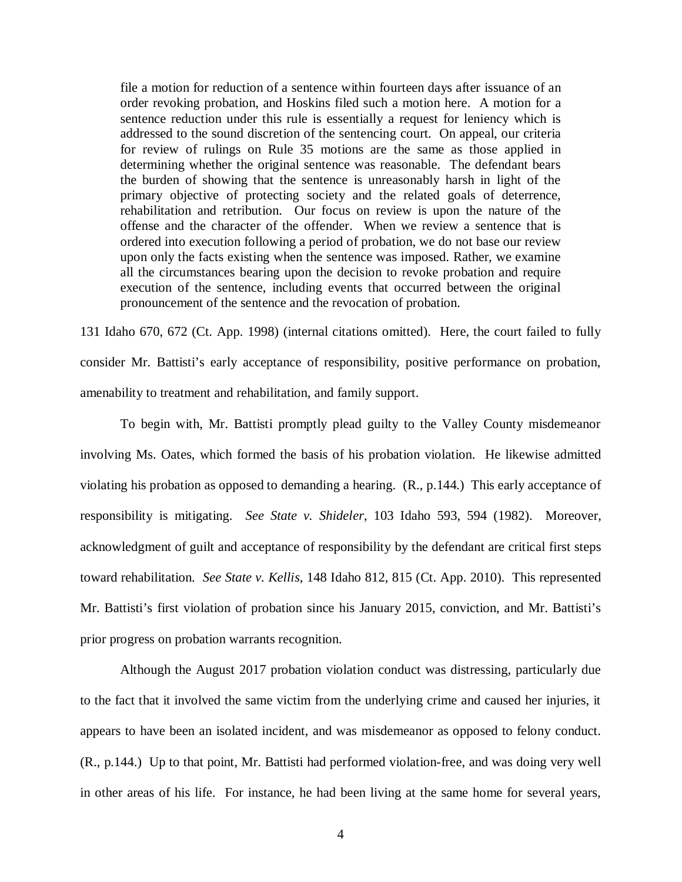file a motion for reduction of a sentence within fourteen days after issuance of an order revoking probation, and Hoskins filed such a motion here. A motion for a sentence reduction under this rule is essentially a request for leniency which is addressed to the sound discretion of the sentencing court. On appeal, our criteria for review of rulings on Rule 35 motions are the same as those applied in determining whether the original sentence was reasonable. The defendant bears the burden of showing that the sentence is unreasonably harsh in light of the primary objective of protecting society and the related goals of deterrence, rehabilitation and retribution. Our focus on review is upon the nature of the offense and the character of the offender. When we review a sentence that is ordered into execution following a period of probation, we do not base our review upon only the facts existing when the sentence was imposed. Rather, we examine all the circumstances bearing upon the decision to revoke probation and require execution of the sentence, including events that occurred between the original pronouncement of the sentence and the revocation of probation.

131 Idaho 670, 672 (Ct. App. 1998) (internal citations omitted). Here, the court failed to fully consider Mr. Battisti's early acceptance of responsibility, positive performance on probation, amenability to treatment and rehabilitation, and family support.

To begin with, Mr. Battisti promptly plead guilty to the Valley County misdemeanor involving Ms. Oates, which formed the basis of his probation violation. He likewise admitted violating his probation as opposed to demanding a hearing. (R., p.144.) This early acceptance of responsibility is mitigating. *See State v. Shideler*, 103 Idaho 593, 594 (1982). Moreover, acknowledgment of guilt and acceptance of responsibility by the defendant are critical first steps toward rehabilitation. *See State v. Kellis*, 148 Idaho 812, 815 (Ct. App. 2010). This represented Mr. Battisti's first violation of probation since his January 2015, conviction, and Mr. Battisti's prior progress on probation warrants recognition.

Although the August 2017 probation violation conduct was distressing, particularly due to the fact that it involved the same victim from the underlying crime and caused her injuries, it appears to have been an isolated incident, and was misdemeanor as opposed to felony conduct. (R., p.144.) Up to that point, Mr. Battisti had performed violation-free, and was doing very well in other areas of his life. For instance, he had been living at the same home for several years,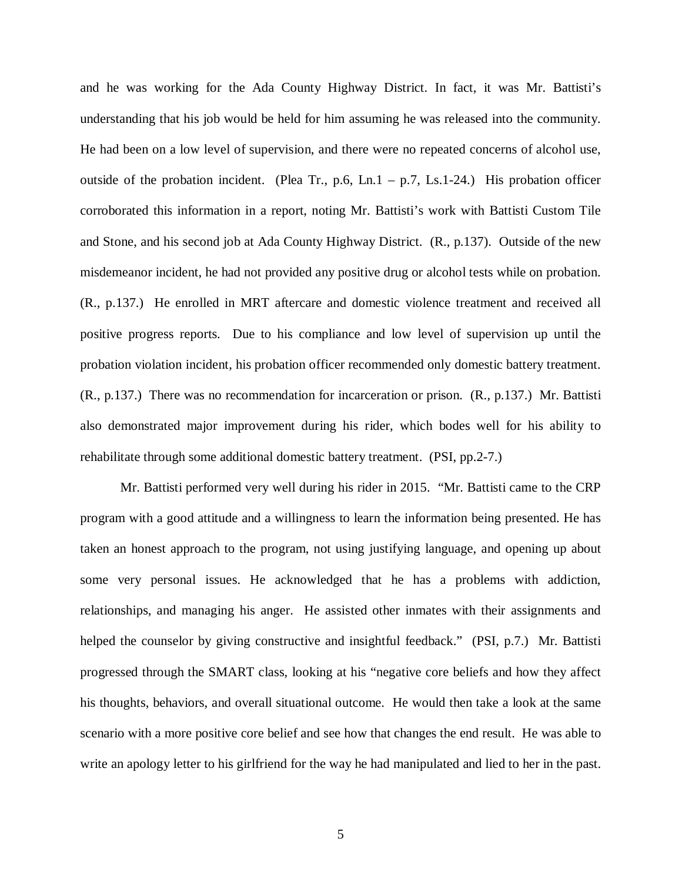and he was working for the Ada County Highway District. In fact, it was Mr. Battisti's understanding that his job would be held for him assuming he was released into the community. He had been on a low level of supervision, and there were no repeated concerns of alcohol use, outside of the probation incident. (Plea Tr., p.6, Ln.1 – p.7, Ls.1-24.) His probation officer corroborated this information in a report, noting Mr. Battisti's work with Battisti Custom Tile and Stone, and his second job at Ada County Highway District. (R., p.137). Outside of the new misdemeanor incident, he had not provided any positive drug or alcohol tests while on probation. (R., p.137.) He enrolled in MRT aftercare and domestic violence treatment and received all positive progress reports. Due to his compliance and low level of supervision up until the probation violation incident, his probation officer recommended only domestic battery treatment. (R., p.137.) There was no recommendation for incarceration or prison. (R., p.137.) Mr. Battisti also demonstrated major improvement during his rider, which bodes well for his ability to rehabilitate through some additional domestic battery treatment. (PSI, pp.2-7.)

Mr. Battisti performed very well during his rider in 2015. "Mr. Battisti came to the CRP program with a good attitude and a willingness to learn the information being presented. He has taken an honest approach to the program, not using justifying language, and opening up about some very personal issues. He acknowledged that he has a problems with addiction, relationships, and managing his anger. He assisted other inmates with their assignments and helped the counselor by giving constructive and insightful feedback." (PSI, p.7.) Mr. Battisti progressed through the SMART class, looking at his "negative core beliefs and how they affect his thoughts, behaviors, and overall situational outcome. He would then take a look at the same scenario with a more positive core belief and see how that changes the end result. He was able to write an apology letter to his girlfriend for the way he had manipulated and lied to her in the past.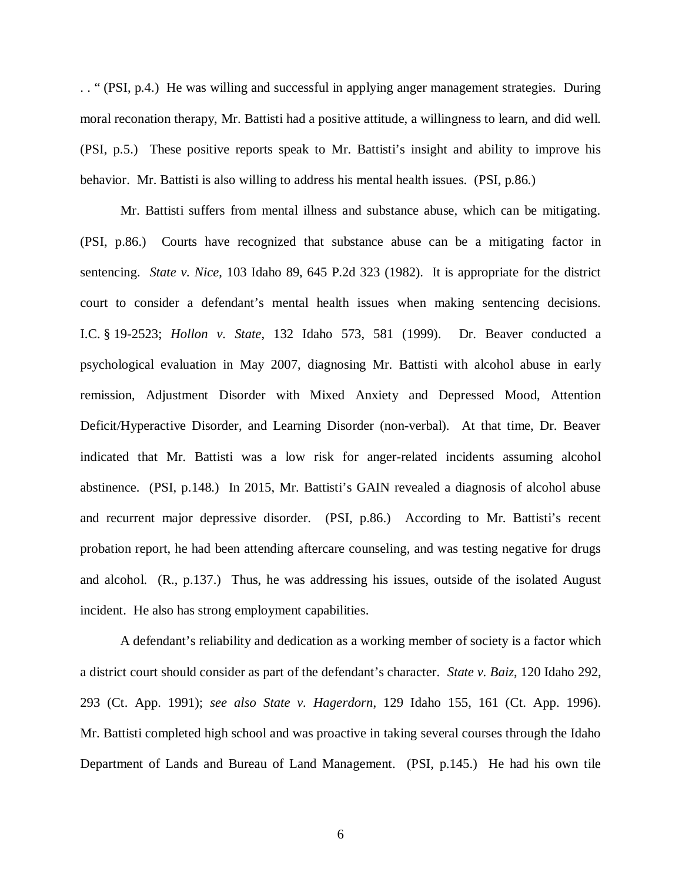. . " (PSI, p.4.) He was willing and successful in applying anger management strategies. During moral reconation therapy, Mr. Battisti had a positive attitude, a willingness to learn, and did well. (PSI, p.5.) These positive reports speak to Mr. Battisti's insight and ability to improve his behavior. Mr. Battisti is also willing to address his mental health issues. (PSI, p.86.)

Mr. Battisti suffers from mental illness and substance abuse, which can be mitigating. (PSI, p.86.) Courts have recognized that substance abuse can be a mitigating factor in sentencing. *State v. Nice*, 103 Idaho 89, 645 P.2d 323 (1982). It is appropriate for the district court to consider a defendant's mental health issues when making sentencing decisions. I.C. § 19-2523; *Hollon v. State*, 132 Idaho 573, 581 (1999). Dr. Beaver conducted a psychological evaluation in May 2007, diagnosing Mr. Battisti with alcohol abuse in early remission, Adjustment Disorder with Mixed Anxiety and Depressed Mood, Attention Deficit/Hyperactive Disorder, and Learning Disorder (non-verbal). At that time, Dr. Beaver indicated that Mr. Battisti was a low risk for anger-related incidents assuming alcohol abstinence. (PSI, p.148.) In 2015, Mr. Battisti's GAIN revealed a diagnosis of alcohol abuse and recurrent major depressive disorder. (PSI, p.86.) According to Mr. Battisti's recent probation report, he had been attending aftercare counseling, and was testing negative for drugs and alcohol. (R., p.137.) Thus, he was addressing his issues, outside of the isolated August incident. He also has strong employment capabilities.

A defendant's reliability and dedication as a working member of society is a factor which a district court should consider as part of the defendant's character. *State v. Baiz*, 120 Idaho 292, 293 (Ct. App. 1991); *see also State v. Hagerdorn*, 129 Idaho 155, 161 (Ct. App. 1996). Mr. Battisti completed high school and was proactive in taking several courses through the Idaho Department of Lands and Bureau of Land Management. (PSI, p.145.) He had his own tile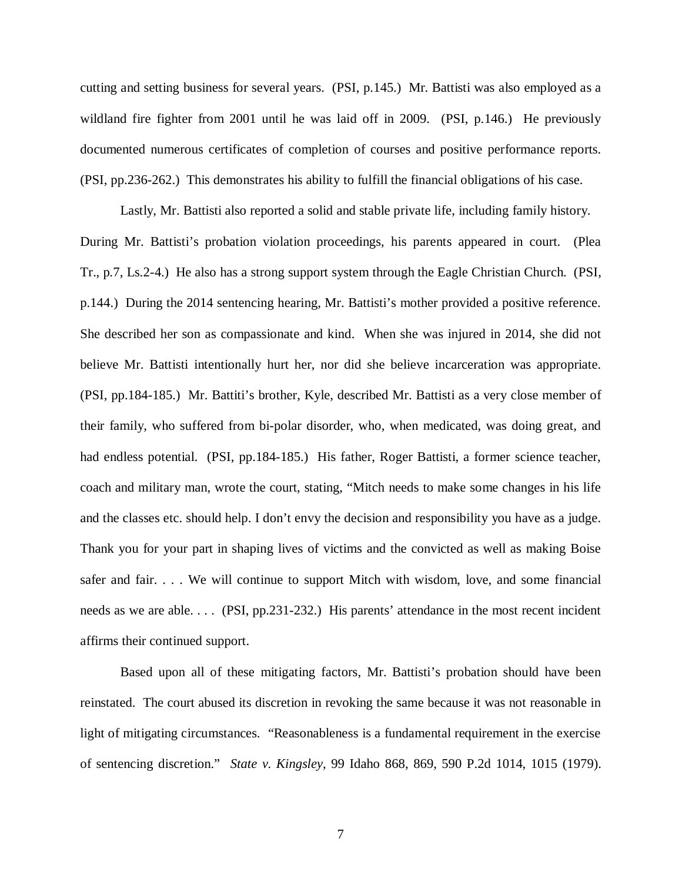cutting and setting business for several years. (PSI, p.145.) Mr. Battisti was also employed as a wildland fire fighter from 2001 until he was laid off in 2009. (PSI, p.146.) He previously documented numerous certificates of completion of courses and positive performance reports. (PSI, pp.236-262.) This demonstrates his ability to fulfill the financial obligations of his case.

Lastly, Mr. Battisti also reported a solid and stable private life, including family history. During Mr. Battisti's probation violation proceedings, his parents appeared in court. (Plea Tr., p.7, Ls.2-4.) He also has a strong support system through the Eagle Christian Church. (PSI, p.144.) During the 2014 sentencing hearing, Mr. Battisti's mother provided a positive reference. She described her son as compassionate and kind. When she was injured in 2014, she did not believe Mr. Battisti intentionally hurt her, nor did she believe incarceration was appropriate. (PSI, pp.184-185.) Mr. Battiti's brother, Kyle, described Mr. Battisti as a very close member of their family, who suffered from bi-polar disorder, who, when medicated, was doing great, and had endless potential. (PSI, pp.184-185.) His father, Roger Battisti, a former science teacher, coach and military man, wrote the court, stating, "Mitch needs to make some changes in his life and the classes etc. should help. I don't envy the decision and responsibility you have as a judge. Thank you for your part in shaping lives of victims and the convicted as well as making Boise safer and fair. . . . We will continue to support Mitch with wisdom, love, and some financial needs as we are able. . . . (PSI, pp.231-232.) His parents' attendance in the most recent incident affirms their continued support.

Based upon all of these mitigating factors, Mr. Battisti's probation should have been reinstated. The court abused its discretion in revoking the same because it was not reasonable in light of mitigating circumstances. "Reasonableness is a fundamental requirement in the exercise of sentencing discretion." *State v. Kingsley*, 99 Idaho 868, 869, 590 P.2d 1014, 1015 (1979).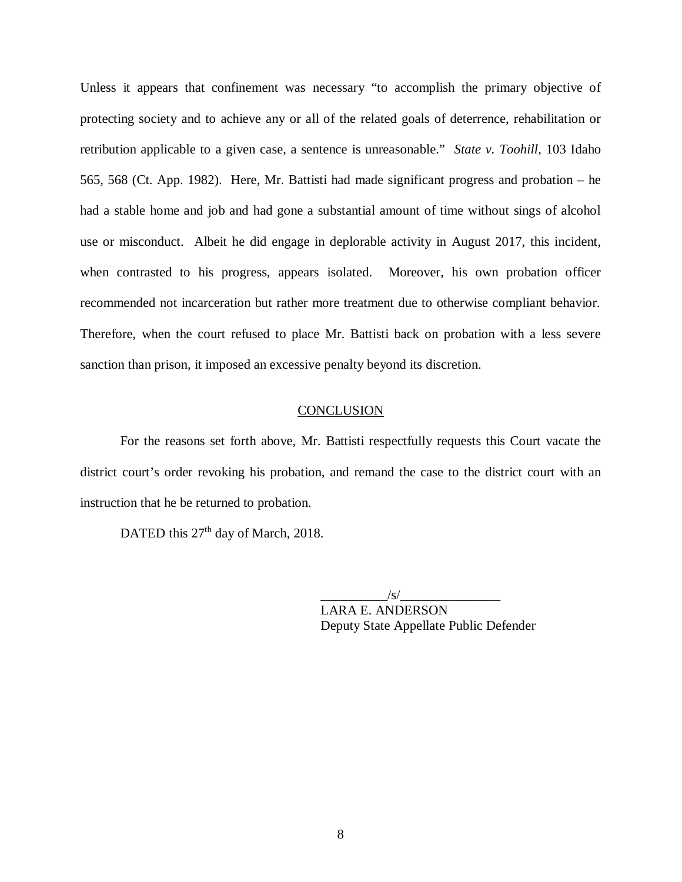Unless it appears that confinement was necessary "to accomplish the primary objective of protecting society and to achieve any or all of the related goals of deterrence, rehabilitation or retribution applicable to a given case, a sentence is unreasonable." *State v. Toohill*, 103 Idaho 565, 568 (Ct. App. 1982). Here, Mr. Battisti had made significant progress and probation – he had a stable home and job and had gone a substantial amount of time without sings of alcohol use or misconduct. Albeit he did engage in deplorable activity in August 2017, this incident, when contrasted to his progress, appears isolated. Moreover, his own probation officer recommended not incarceration but rather more treatment due to otherwise compliant behavior. Therefore, when the court refused to place Mr. Battisti back on probation with a less severe sanction than prison, it imposed an excessive penalty beyond its discretion.

### **CONCLUSION**

For the reasons set forth above, Mr. Battisti respectfully requests this Court vacate the district court's order revoking his probation, and remand the case to the district court with an instruction that he be returned to probation.

DATED this 27<sup>th</sup> day of March, 2018.

 $\sqrt{s/}$ 

LARA E. ANDERSON Deputy State Appellate Public Defender